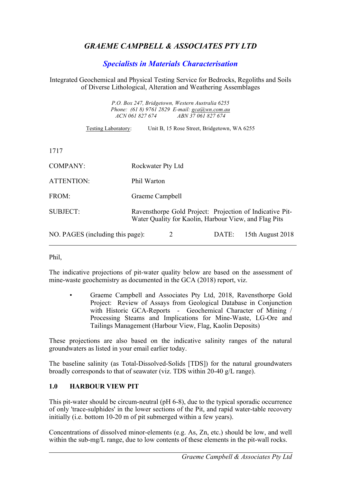# *GRAEME CAMPBELL & ASSOCIATES PTY LTD*

# *Specialists in Materials Characterisation*

#### Integrated Geochemical and Physical Testing Service for Bedrocks, Regoliths and Soils of Diverse Lithological, Alteration and Weathering Assemblages

*P.O. Box 247, Bridgetown, Western Australia 6255 Phone: (61 8) 9761 2829 E-mail: gca@wn.com.au ACN 061 827 674 ABN 37 061 827 674*

Testing Laboratory: Unit B, 15 Rose Street, Bridgetown, WA 6255

1717

| <b>COMPANY:</b>                  | Rockwater Pty Ltd                                                                                                 |       |                  |
|----------------------------------|-------------------------------------------------------------------------------------------------------------------|-------|------------------|
| ATTENTION:                       | Phil Warton                                                                                                       |       |                  |
| FROM:                            | Graeme Campbell                                                                                                   |       |                  |
| <b>SUBJECT:</b>                  | Ravensthorpe Gold Project: Projection of Indicative Pit-<br>Water Quality for Kaolin, Harbour View, and Flag Pits |       |                  |
| NO. PAGES (including this page): | 2                                                                                                                 | DATE: | 15th August 2018 |

Phil,

The indicative projections of pit-water quality below are based on the assessment of mine-waste geochemistry as documented in the GCA (2018) report, viz.

• Graeme Campbell and Associates Pty Ltd, 2018, Ravensthorpe Gold Project: Review of Assays from Geological Database in Conjunction with Historic GCA-Reports - Geochemical Character of Mining / Processing Steams and Implications for Mine-Waste, LG-Ore and Tailings Management (Harbour View, Flag, Kaolin Deposits)

These projections are also based on the indicative salinity ranges of the natural groundwaters as listed in your email earlier today.

The baseline salinity (as Total-Dissolved-Solids [TDS]) for the natural groundwaters broadly corresponds to that of seawater (viz. TDS within 20-40 g/L range).

### **1.0 HARBOUR VIEW PIT**

This pit-water should be circum-neutral (pH 6-8), due to the typical sporadic occurrence of only 'trace-sulphides' in the lower sections of the Pit, and rapid water-table recovery initially (i.e. bottom 10-20 m of pit submerged within a few years).

Concentrations of dissolved minor-elements (e.g. As, Zn, etc.) should be low, and well within the sub-mg/L range, due to low contents of these elements in the pit-wall rocks.